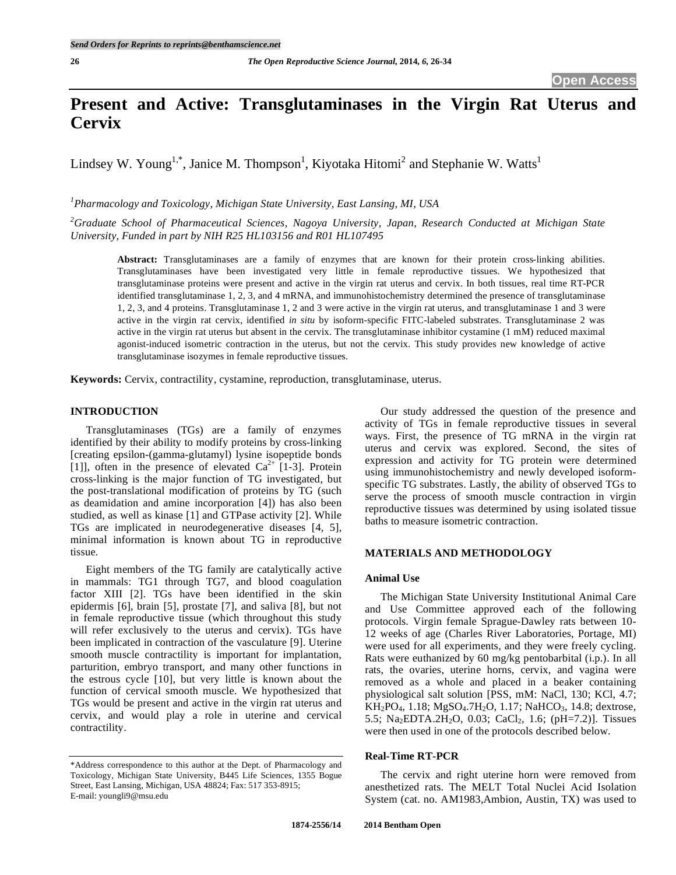# **Present and Active: Transglutaminases in the Virgin Rat Uterus and Cervix**

Lindsey W. Young<sup>1,\*</sup>, Janice M. Thompson<sup>1</sup>, Kiyotaka Hitomi<sup>2</sup> and Stephanie W. Watts<sup>1</sup>

*1 Pharmacology and Toxicology, Michigan State University, East Lansing, MI, USA* 

*2 Graduate School of Pharmaceutical Sciences, Nagoya University, Japan, Research Conducted at Michigan State University, Funded in part by NIH R25 HL103156 and R01 HL107495* 

**Abstract:** Transglutaminases are a family of enzymes that are known for their protein cross-linking abilities. Transglutaminases have been investigated very little in female reproductive tissues. We hypothesized that transglutaminase proteins were present and active in the virgin rat uterus and cervix. In both tissues, real time RT-PCR identified transglutaminase 1, 2, 3, and 4 mRNA, and immunohistochemistry determined the presence of transglutaminase 1, 2, 3, and 4 proteins. Transglutaminase 1, 2 and 3 were active in the virgin rat uterus, and transglutaminase 1 and 3 were active in the virgin rat cervix, identified *in situ* by isoform-specific FITC-labeled substrates. Transglutaminase 2 was active in the virgin rat uterus but absent in the cervix. The transglutaminase inhibitor cystamine (1 mM) reduced maximal agonist-induced isometric contraction in the uterus, but not the cervix. This study provides new knowledge of active transglutaminase isozymes in female reproductive tissues.

**Keywords:** Cervix, contractility, cystamine, reproduction, transglutaminase, uterus.

# **INTRODUCTION**

Transglutaminases (TGs) are a family of enzymes identified by their ability to modify proteins by cross-linking [creating epsilon-(gamma-glutamyl) lysine isopeptide bonds [1]], often in the presence of elevated  $Ca^{2+}$  [1-3]. Protein cross-linking is the major function of TG investigated, but the post-translational modification of proteins by TG (such as deamidation and amine incorporation [4]) has also been studied, as well as kinase [1] and GTPase activity [2]. While TGs are implicated in neurodegenerative diseases [4, 5], minimal information is known about TG in reproductive tissue.

Eight members of the TG family are catalytically active in mammals: TG1 through TG7, and blood coagulation factor XIII [2]. TGs have been identified in the skin epidermis [6], brain [5], prostate [7], and saliva [8], but not in female reproductive tissue (which throughout this study will refer exclusively to the uterus and cervix). TGs have been implicated in contraction of the vasculature [9]. Uterine smooth muscle contractility is important for implantation, parturition, embryo transport, and many other functions in the estrous cycle [10], but very little is known about the function of cervical smooth muscle. We hypothesized that TGs would be present and active in the virgin rat uterus and cervix, and would play a role in uterine and cervical contractility.

Our study addressed the question of the presence and activity of TGs in female reproductive tissues in several ways. First, the presence of TG mRNA in the virgin rat uterus and cervix was explored. Second, the sites of expression and activity for TG protein were determined using immunohistochemistry and newly developed isoformspecific TG substrates. Lastly, the ability of observed TGs to serve the process of smooth muscle contraction in virgin reproductive tissues was determined by using isolated tissue baths to measure isometric contraction.

# **MATERIALS AND METHODOLOGY**

#### **Animal Use**

The Michigan State University Institutional Animal Care and Use Committee approved each of the following protocols. Virgin female Sprague-Dawley rats between 10- 12 weeks of age (Charles River Laboratories, Portage, MI) were used for all experiments, and they were freely cycling. Rats were euthanized by 60 mg/kg pentobarbital (i.p.). In all rats, the ovaries, uterine horns, cervix, and vagina were removed as a whole and placed in a beaker containing physiological salt solution [PSS, mM: NaCl, 130; KCl, 4.7;  $KH_2PO_4$ , 1.18;  $MgSO_4$ .7H<sub>2</sub>O, 1.17; NaHCO<sub>3</sub>, 14.8; dextrose, 5.5; Na<sub>2</sub>EDTA.2H<sub>2</sub>O, 0.03; CaCl<sub>2</sub>, 1.6; (pH=7.2)]. Tissues were then used in one of the protocols described below.

# **Real-Time RT-PCR**

The cervix and right uterine horn were removed from anesthetized rats. The MELT Total Nuclei Acid Isolation System (cat. no. AM1983,Ambion, Austin, TX) was used to

<sup>\*</sup>Address correspondence to this author at the Dept. of Pharmacology and Toxicology, Michigan State University, B445 Life Sciences, 1355 Bogue Street, East Lansing, Michigan, USA 48824; Fax: 517 353-8915; E-mail: youngli9@msu.edu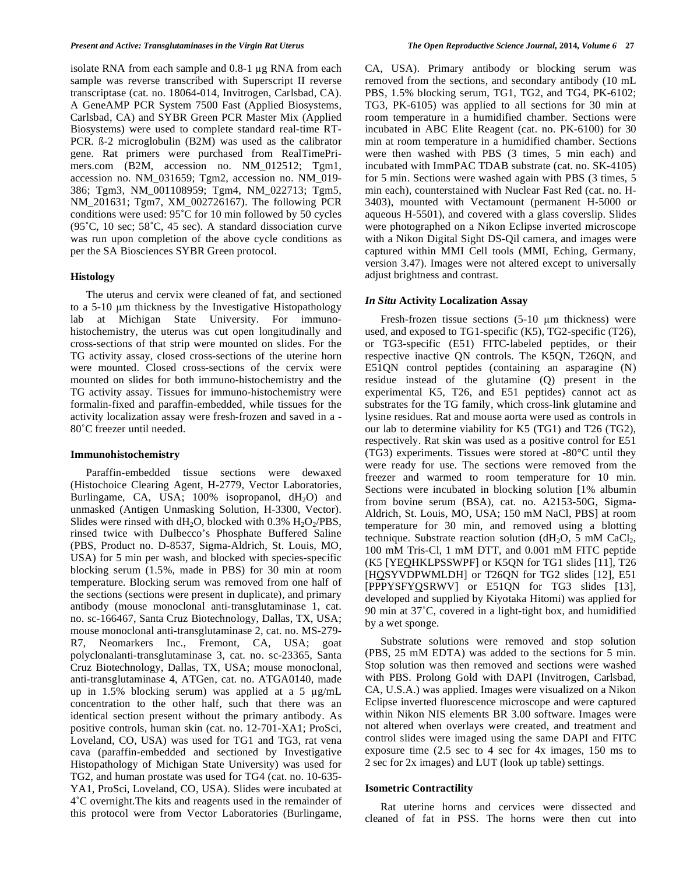isolate RNA from each sample and  $0.8-1$  µg RNA from each sample was reverse transcribed with Superscript II reverse transcriptase (cat. no. 18064-014, Invitrogen, Carlsbad, CA). A GeneAMP PCR System 7500 Fast (Applied Biosystems, Carlsbad, CA) and SYBR Green PCR Master Mix (Applied Biosystems) were used to complete standard real-time RT-PCR. ß-2 microglobulin (B2M) was used as the calibrator gene. Rat primers were purchased from RealTimePrimers.com (B2M, accession no. NM 012512; Tgm1, accession no. NM\_031659; Tgm2, accession no. NM\_019- 386; Tgm3, NM\_001108959; Tgm4, NM\_022713; Tgm5, NM\_201631; Tgm7, XM\_002726167). The following PCR conditions were used: 95˚C for 10 min followed by 50 cycles (95˚C, 10 sec; 58˚C, 45 sec). A standard dissociation curve was run upon completion of the above cycle conditions as per the SA Biosciences SYBR Green protocol.

#### **Histology**

The uterus and cervix were cleaned of fat, and sectioned to a 5-10 µm thickness by the Investigative Histopathology lab at Michigan State University. For immunohistochemistry, the uterus was cut open longitudinally and cross-sections of that strip were mounted on slides. For the TG activity assay, closed cross-sections of the uterine horn were mounted. Closed cross-sections of the cervix were mounted on slides for both immuno-histochemistry and the TG activity assay. Tissues for immuno-histochemistry were formalin-fixed and paraffin-embedded, while tissues for the activity localization assay were fresh-frozen and saved in a - 80˚C freezer until needed.

#### **Immunohistochemistry**

Paraffin-embedded tissue sections were dewaxed (Histochoice Clearing Agent, H-2779, Vector Laboratories, Burlingame, CA, USA;  $100\%$  isopropanol,  $dH_2O$ ) and unmasked (Antigen Unmasking Solution, H-3300, Vector). Slides were rinsed with  $dH_2O$ , blocked with 0.3%  $H_2O_2/PBS$ , rinsed twice with Dulbecco's Phosphate Buffered Saline (PBS, Product no. D-8537, Sigma-Aldrich, St. Louis, MO, USA) for 5 min per wash, and blocked with species-specific blocking serum (1.5%, made in PBS) for 30 min at room temperature. Blocking serum was removed from one half of the sections (sections were present in duplicate), and primary antibody (mouse monoclonal anti-transglutaminase 1, cat. no. sc-166467, Santa Cruz Biotechnology, Dallas, TX, USA; mouse monoclonal anti-transglutaminase 2, cat. no. MS-279- R7, Neomarkers Inc., Fremont, CA, USA; goat polyclonalanti-transglutaminase 3, cat. no. sc-23365, Santa Cruz Biotechnology, Dallas, TX, USA; mouse monoclonal, anti-transglutaminase 4, ATGen, cat. no. ATGA0140, made up in 1.5% blocking serum) was applied at a 5  $\mu$ g/mL concentration to the other half, such that there was an identical section present without the primary antibody. As positive controls, human skin (cat. no. 12-701-XA1; ProSci, Loveland, CO, USA) was used for TG1 and TG3, rat vena cava (paraffin-embedded and sectioned by Investigative Histopathology of Michigan State University) was used for TG2, and human prostate was used for TG4 (cat. no. 10-635- YA1, ProSci, Loveland, CO, USA). Slides were incubated at 4˚C overnight.The kits and reagents used in the remainder of this protocol were from Vector Laboratories (Burlingame,

CA, USA). Primary antibody or blocking serum was removed from the sections, and secondary antibody (10 mL PBS, 1.5% blocking serum, TG1, TG2, and TG4, PK-6102; TG3, PK-6105) was applied to all sections for 30 min at room temperature in a humidified chamber. Sections were incubated in ABC Elite Reagent (cat. no. PK-6100) for 30 min at room temperature in a humidified chamber. Sections were then washed with PBS (3 times, 5 min each) and incubated with ImmPAC TDAB substrate (cat. no. SK-4105) for 5 min. Sections were washed again with PBS (3 times, 5 min each), counterstained with Nuclear Fast Red (cat. no. H-3403), mounted with Vectamount (permanent H-5000 or aqueous H-5501), and covered with a glass coverslip. Slides were photographed on a Nikon Eclipse inverted microscope with a Nikon Digital Sight DS-Oil camera, and images were captured within MMI Cell tools (MMI, Eching, Germany, version 3.47). Images were not altered except to universally adjust brightness and contrast.

## *In Situ* **Activity Localization Assay**

Fresh-frozen tissue sections  $(5-10 \mu m)$  thickness) were used, and exposed to TG1-specific (K5), TG2-specific (T26), or TG3-specific (E51) FITC-labeled peptides, or their respective inactive QN controls. The K5QN, T26QN, and E51QN control peptides (containing an asparagine (N) residue instead of the glutamine (Q) present in the experimental K5, T26, and E51 peptides) cannot act as substrates for the TG family, which cross-link glutamine and lysine residues. Rat and mouse aorta were used as controls in our lab to determine viability for K5 (TG1) and T26 (TG2), respectively. Rat skin was used as a positive control for E51 (TG3) experiments. Tissues were stored at -80°C until they were ready for use. The sections were removed from the freezer and warmed to room temperature for 10 min. Sections were incubated in blocking solution [1% albumin from bovine serum (BSA), cat. no. A2153-50G, Sigma-Aldrich, St. Louis, MO, USA; 150 mM NaCl, PBS] at room temperature for 30 min, and removed using a blotting technique. Substrate reaction solution (dH<sub>2</sub>O, 5 mM CaCl<sub>2</sub>, 100 mM Tris-Cl, 1 mM DTT, and 0.001 mM FITC peptide (K5 [YEQHKLPSSWPF] or K5QN for TG1 slides [11], T26 [HQSYVDPWMLDH] or T26QN for TG2 slides [12], E51 [PPPYSFYQSRWV] or E51QN for TG3 slides [13], developed and supplied by Kiyotaka Hitomi) was applied for 90 min at 37˚C, covered in a light-tight box, and humidified by a wet sponge.

Substrate solutions were removed and stop solution (PBS, 25 mM EDTA) was added to the sections for 5 min. Stop solution was then removed and sections were washed with PBS. Prolong Gold with DAPI (Invitrogen, Carlsbad, CA, U.S.A.) was applied. Images were visualized on a Nikon Eclipse inverted fluorescence microscope and were captured within Nikon NIS elements BR 3.00 software. Images were not altered when overlays were created, and treatment and control slides were imaged using the same DAPI and FITC exposure time (2.5 sec to 4 sec for 4x images, 150 ms to 2 sec for 2x images) and LUT (look up table) settings.

#### **Isometric Contractility**

Rat uterine horns and cervices were dissected and cleaned of fat in PSS. The horns were then cut into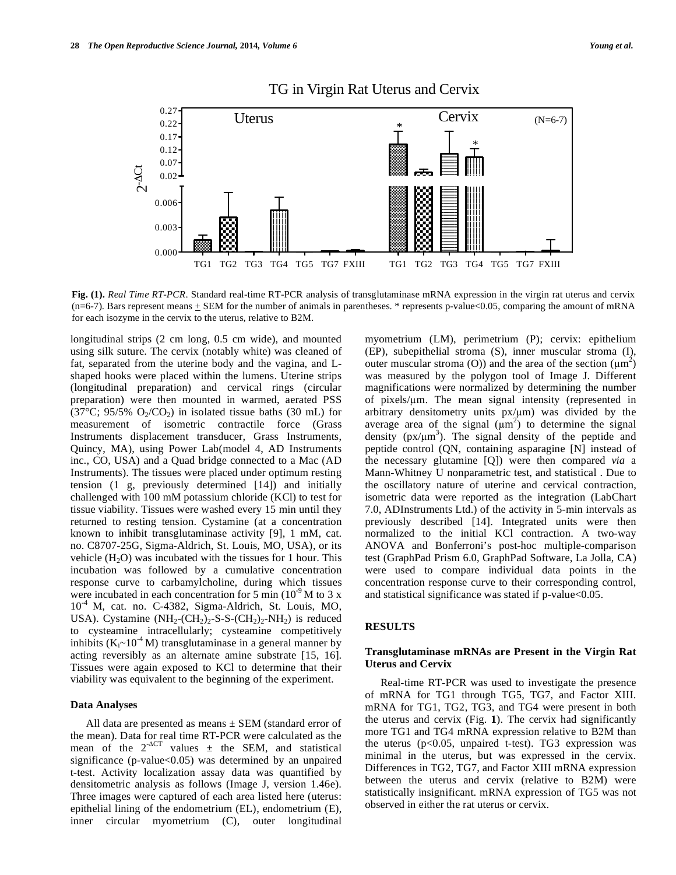

# TG in Virgin Rat Uterus and Cervix

**Fig. (1).** *Real Time RT-PCR*. Standard real-time RT-PCR analysis of transglutaminase mRNA expression in the virgin rat uterus and cervix  $(n=6-7)$ . Bars represent means  $\pm$  SEM for the number of animals in parentheses. \* represents p-value<0.05, comparing the amount of mRNA for each isozyme in the cervix to the uterus, relative to B2M.

longitudinal strips (2 cm long, 0.5 cm wide), and mounted using silk suture. The cervix (notably white) was cleaned of fat, separated from the uterine body and the vagina, and Lshaped hooks were placed within the lumens. Uterine strips (longitudinal preparation) and cervical rings (circular preparation) were then mounted in warmed, aerated PSS (37 $\degree$ C; 95/5% O<sub>2</sub>/CO<sub>2</sub>) in isolated tissue baths (30 mL) for measurement of isometric contractile force (Grass Instruments displacement transducer, Grass Instruments, Quincy, MA), using Power Lab(model 4, AD Instruments inc., CO, USA) and a Quad bridge connected to a Mac (AD Instruments). The tissues were placed under optimum resting tension (1 g, previously determined [14]) and initially challenged with 100 mM potassium chloride (KCl) to test for tissue viability. Tissues were washed every 15 min until they returned to resting tension. Cystamine (at a concentration known to inhibit transglutaminase activity [9], 1 mM, cat. no. C8707-25G, Sigma-Aldrich, St. Louis, MO, USA), or its vehicle  $(H_2O)$  was incubated with the tissues for 1 hour. This incubation was followed by a cumulative concentration response curve to carbamylcholine, during which tissues were incubated in each concentration for 5 min  $(10^9 M)$  to 3 x  $10^{-4}$  M, cat. no. C-4382, Sigma-Aldrich, St. Louis, MO, USA). Cystamine  $(NH_2$ - $(CH_2)_2$ -S-S- $(CH_2)_2$ - $NH_2$ ) is reduced to cysteamine intracellularly; cysteamine competitively inhibits ( $K_i \sim 10^{-4}$  M) transglutaminase in a general manner by acting reversibly as an alternate amine substrate [15, 16]. Tissues were again exposed to KCl to determine that their viability was equivalent to the beginning of the experiment.

# **Data Analyses**

All data are presented as means ± SEM (standard error of the mean). Data for real time RT-PCR were calculated as the mean of the  $2^{-\Delta CT}$  values  $\pm$  the SEM, and statistical significance (p-value<0.05) was determined by an unpaired t-test. Activity localization assay data was quantified by densitometric analysis as follows (Image J, version 1.46e). Three images were captured of each area listed here (uterus: epithelial lining of the endometrium (EL), endometrium (E), inner circular myometrium (C), outer longitudinal

myometrium (LM), perimetrium (P); cervix: epithelium (EP), subepithelial stroma (S), inner muscular stroma (I), outer muscular stroma (O)) and the area of the section  $(\mu m^2)$ was measured by the polygon tool of Image J. Different magnifications were normalized by determining the number of pixels/ $\mu$ m. The mean signal intensity (represented in arbitrary densitometry units  $px/\mu m$ ) was divided by the average area of the signal  $(\mu m^2)$  to determine the signal density  $(px/\mu m^3)$ . The signal density of the peptide and peptide control (QN, containing asparagine [N] instead of the necessary glutamine [Q]) were then compared *via* a Mann-Whitney U nonparametric test, and statistical . Due to the oscillatory nature of uterine and cervical contraction, isometric data were reported as the integration (LabChart 7.0, ADInstruments Ltd.) of the activity in 5-min intervals as previously described [14]. Integrated units were then normalized to the initial KCl contraction. A two-way ANOVA and Bonferroni's post-hoc multiple-comparison test (GraphPad Prism 6.0, GraphPad Software, La Jolla, CA) were used to compare individual data points in the concentration response curve to their corresponding control, and statistical significance was stated if  $p$ -value $<0.05$ .

# **RESULTS**

#### **Transglutaminase mRNAs are Present in the Virgin Rat Uterus and Cervix**

Real-time RT-PCR was used to investigate the presence of mRNA for TG1 through TG5, TG7, and Factor XIII. mRNA for TG1, TG2, TG3, and TG4 were present in both the uterus and cervix (Fig. **1**). The cervix had significantly more TG1 and TG4 mRNA expression relative to B2M than the uterus ( $p<0.05$ , unpaired t-test). TG3 expression was minimal in the uterus, but was expressed in the cervix. Differences in TG2, TG7, and Factor XIII mRNA expression between the uterus and cervix (relative to B2M) were statistically insignificant. mRNA expression of TG5 was not observed in either the rat uterus or cervix.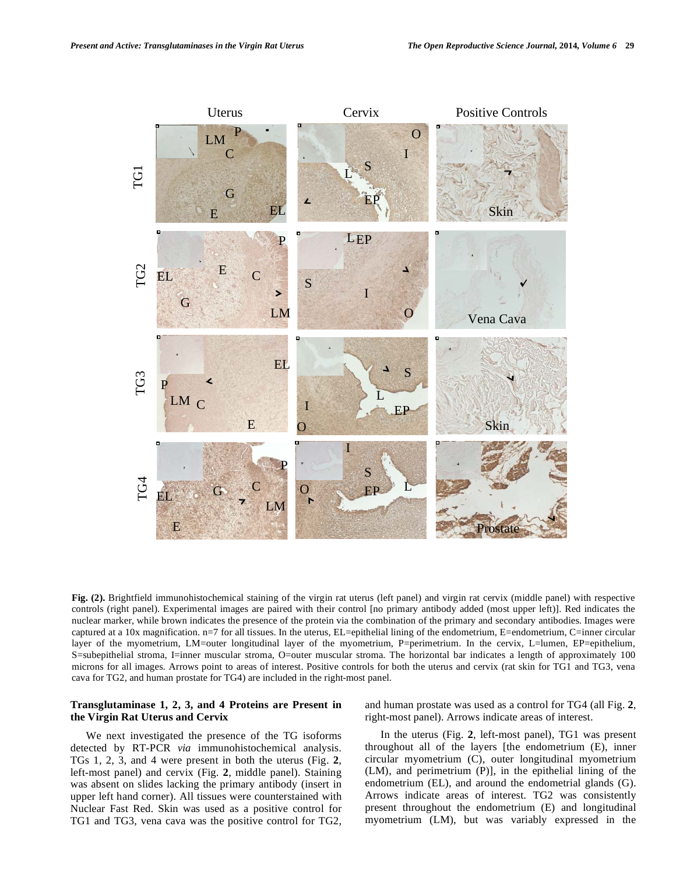

**Fig. (2).** Brightfield immunohistochemical staining of the virgin rat uterus (left panel) and virgin rat cervix (middle panel) with respective controls (right panel). Experimental images are paired with their control [no primary antibody added (most upper left)]. Red indicates the nuclear marker, while brown indicates the presence of the protein via the combination of the primary and secondary antibodies. Images were captured at a 10x magnification. n=7 for all tissues. In the uterus, EL=epithelial lining of the endometrium, E=endometrium, C=inner circular layer of the myometrium, LM=outer longitudinal layer of the myometrium, P=perimetrium. In the cervix, L=lumen, EP=epithelium, S=subepithelial stroma, I=inner muscular stroma, O=outer muscular stroma. The horizontal bar indicates a length of approximately 100 microns for all images. Arrows point to areas of interest. Positive controls for both the uterus and cervix (rat skin for TG1 and TG3, vena cava for TG2, and human prostate for TG4) are included in the right-most panel.

# **Transglutaminase 1, 2, 3, and 4 Proteins are Present in the Virgin Rat Uterus and Cervix**

We next investigated the presence of the TG isoforms detected by RT-PCR *via* immunohistochemical analysis. TGs 1, 2, 3, and 4 were present in both the uterus (Fig. **2**, left-most panel) and cervix (Fig. **2**, middle panel). Staining was absent on slides lacking the primary antibody (insert in upper left hand corner). All tissues were counterstained with Nuclear Fast Red. Skin was used as a positive control for TG1 and TG3, vena cava was the positive control for TG2, and human prostate was used as a control for TG4 (all Fig. **2**, right-most panel). Arrows indicate areas of interest.

In the uterus (Fig. **2**, left-most panel), TG1 was present throughout all of the layers [the endometrium (E), inner circular myometrium (C), outer longitudinal myometrium (LM), and perimetrium (P)], in the epithelial lining of the endometrium (EL), and around the endometrial glands (G). Arrows indicate areas of interest. TG2 was consistently present throughout the endometrium (E) and longitudinal myometrium (LM), but was variably expressed in the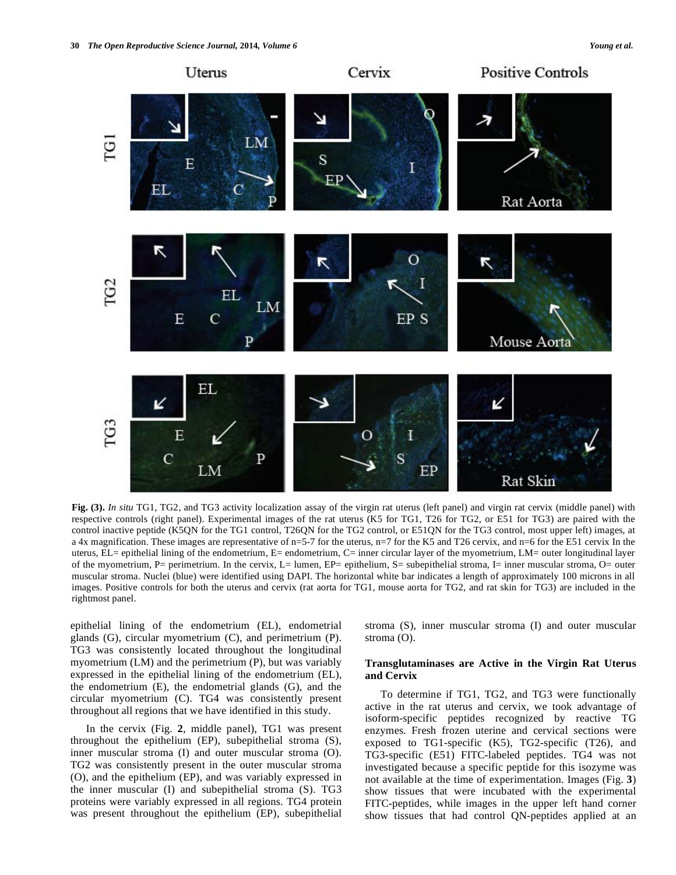

**Fig. (3).** *In situ* TG1, TG2, and TG3 activity localization assay of the virgin rat uterus (left panel) and virgin rat cervix (middle panel) with respective controls (right panel). Experimental images of the rat uterus (K5 for TG1, T26 for TG2, or E51 for TG3) are paired with the control inactive peptide (K5QN for the TG1 control, T26QN for the TG2 control, or E51QN for the TG3 control, most upper left) images, at a 4x magnification. These images are representative of n=5-7 for the uterus, n=7 for the K5 and T26 cervix, and n=6 for the E51 cervix In the uterus, EL= epithelial lining of the endometrium, E= endometrium, C= inner circular layer of the myometrium, LM= outer longitudinal layer of the myometrium, P= perimetrium. In the cervix, L= lumen, EP= epithelium, S= subepithelial stroma, I= inner muscular stroma, O= outer muscular stroma. Nuclei (blue) were identified using DAPI. The horizontal white bar indicates a length of approximately 100 microns in all images. Positive controls for both the uterus and cervix (rat aorta for TG1, mouse aorta for TG2, and rat skin for TG3) are included in the rightmost panel.

epithelial lining of the endometrium (EL), endometrial glands (G), circular myometrium (C), and perimetrium (P). TG3 was consistently located throughout the longitudinal myometrium (LM) and the perimetrium (P), but was variably expressed in the epithelial lining of the endometrium (EL), the endometrium (E), the endometrial glands (G), and the circular myometrium (C). TG4 was consistently present throughout all regions that we have identified in this study.

In the cervix (Fig. **2**, middle panel), TG1 was present throughout the epithelium (EP), subepithelial stroma (S), inner muscular stroma (I) and outer muscular stroma (O). TG2 was consistently present in the outer muscular stroma (O), and the epithelium (EP), and was variably expressed in the inner muscular (I) and subepithelial stroma (S). TG3 proteins were variably expressed in all regions. TG4 protein was present throughout the epithelium (EP), subepithelial stroma (S), inner muscular stroma (I) and outer muscular stroma (O).

# **Transglutaminases are Active in the Virgin Rat Uterus and Cervix**

To determine if TG1, TG2, and TG3 were functionally active in the rat uterus and cervix, we took advantage of isoform-specific peptides recognized by reactive TG enzymes. Fresh frozen uterine and cervical sections were exposed to TG1-specific (K5), TG2-specific (T26), and TG3-specific (E51) FITC-labeled peptides. TG4 was not investigated because a specific peptide for this isozyme was not available at the time of experimentation. Images (Fig. **3**) show tissues that were incubated with the experimental FITC-peptides, while images in the upper left hand corner show tissues that had control QN-peptides applied at an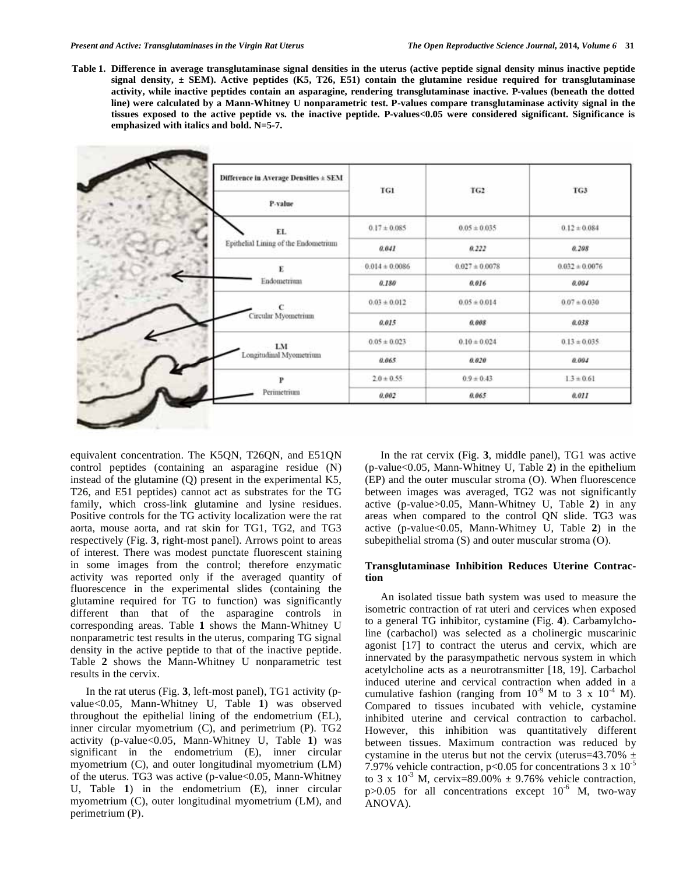**Table 1. Difference in average transglutaminase signal densities in the uterus (active peptide signal density minus inactive peptide signal density, ± SEM). Active peptides (K5, T26, E51) contain the glutamine residue required for transglutaminase activity, while inactive peptides contain an asparagine, rendering transglutaminase inactive. P-values (beneath the dotted line) were calculated by a Mann-Whitney U nonparametric test. P-values compare transglutaminase activity signal in the tissues exposed to the active peptide vs. the inactive peptide. P-values<0.05 were considered significant. Significance is emphasized with italics and bold. N=5-7.** 

| Difference in Average Densities ± SEM | TG1                | TG2                | TG3                |
|---------------------------------------|--------------------|--------------------|--------------------|
| P-value                               |                    |                    |                    |
| EL.                                   | $0.17 \pm 0.085$   | $0.05 \pm 0.035$   | $0.12 \pm 0.084$   |
| Epithelial Lining of the Endometrium  | 0.041              | 0.222              | 0.208              |
| E                                     | $0.014 \pm 0.0086$ | $0.027 \pm 0.0078$ | $0.032 \pm 0.0076$ |
| Endometrium                           | 0.180              | 0.016              | 0.004              |
| $\mathbf{C}$<br>Circular Myometrium   | $0.03 \pm 0.012$   | $0.05 \pm 0.014$   | $0.07 \pm 0.030$   |
|                                       | 0.015              | 0.008              | 0.038              |
| LM                                    | $0.05 \pm 0.023$   | $0.10 \pm 0.024$   | $0.13 \pm 0.035$   |
| Longitudinal Myometrium               | 0.065              | 0.020              | 0.004              |
| P                                     | $2.0 \pm 0.55$     | $0.9 \pm 0.43$     | $1.3 \pm 0.61$     |
| Perimetrium                           | 0,002              | 0.065              | 0.011              |

equivalent concentration. The K5QN, T26QN, and E51QN control peptides (containing an asparagine residue (N) instead of the glutamine (Q) present in the experimental K5, T26, and E51 peptides) cannot act as substrates for the TG family, which cross-link glutamine and lysine residues. Positive controls for the TG activity localization were the rat aorta, mouse aorta, and rat skin for TG1, TG2, and TG3 respectively (Fig. **3**, right-most panel). Arrows point to areas of interest. There was modest punctate fluorescent staining in some images from the control; therefore enzymatic activity was reported only if the averaged quantity of fluorescence in the experimental slides (containing the glutamine required for TG to function) was significantly different than that of the asparagine controls in corresponding areas. Table **1** shows the Mann-Whitney U nonparametric test results in the uterus, comparing TG signal density in the active peptide to that of the inactive peptide. Table **2** shows the Mann-Whitney U nonparametric test results in the cervix.

In the rat uterus (Fig. **3**, left-most panel), TG1 activity (pvalue<0.05, Mann-Whitney U, Table **1**) was observed throughout the epithelial lining of the endometrium (EL), inner circular myometrium (C), and perimetrium (P). TG2 activity (p-value<0.05, Mann-Whitney U, Table **1**) was significant in the endometrium (E), inner circular myometrium (C), and outer longitudinal myometrium (LM) of the uterus. TG3 was active (p-value<0.05, Mann-Whitney U, Table **1**) in the endometrium (E), inner circular myometrium (C), outer longitudinal myometrium (LM), and perimetrium (P).

In the rat cervix (Fig. **3**, middle panel), TG1 was active (p-value<0.05, Mann-Whitney U, Table **2**) in the epithelium (EP) and the outer muscular stroma (O). When fluorescence between images was averaged, TG2 was not significantly active (p-value>0.05, Mann-Whitney U, Table **2**) in any areas when compared to the control QN slide. TG3 was active (p-value<0.05, Mann-Whitney U, Table **2**) in the subepithelial stroma (S) and outer muscular stroma (O).

# **Transglutaminase Inhibition Reduces Uterine Contraction**

An isolated tissue bath system was used to measure the isometric contraction of rat uteri and cervices when exposed to a general TG inhibitor, cystamine (Fig. **4**). Carbamylcholine (carbachol) was selected as a cholinergic muscarinic agonist [17] to contract the uterus and cervix, which are innervated by the parasympathetic nervous system in which acetylcholine acts as a neurotransmitter [18, 19]. Carbachol induced uterine and cervical contraction when added in a cumulative fashion (ranging from  $10^{-9}$  M to 3 x  $10^{-4}$  M). Compared to tissues incubated with vehicle, cystamine inhibited uterine and cervical contraction to carbachol. However, this inhibition was quantitatively different between tissues. Maximum contraction was reduced by cystamine in the uterus but not the cervix (uterus=43.70%  $\pm$ 7.97% vehicle contraction,  $p<0.05$  for concentrations 3 x  $10^{-5}$ to 3 x  $10^{-3}$  M, cervix=89.00%  $\pm$  9.76% vehicle contraction, p $>0.05$  for all concentrations except  $10^{-6}$  M, two-way ANOVA).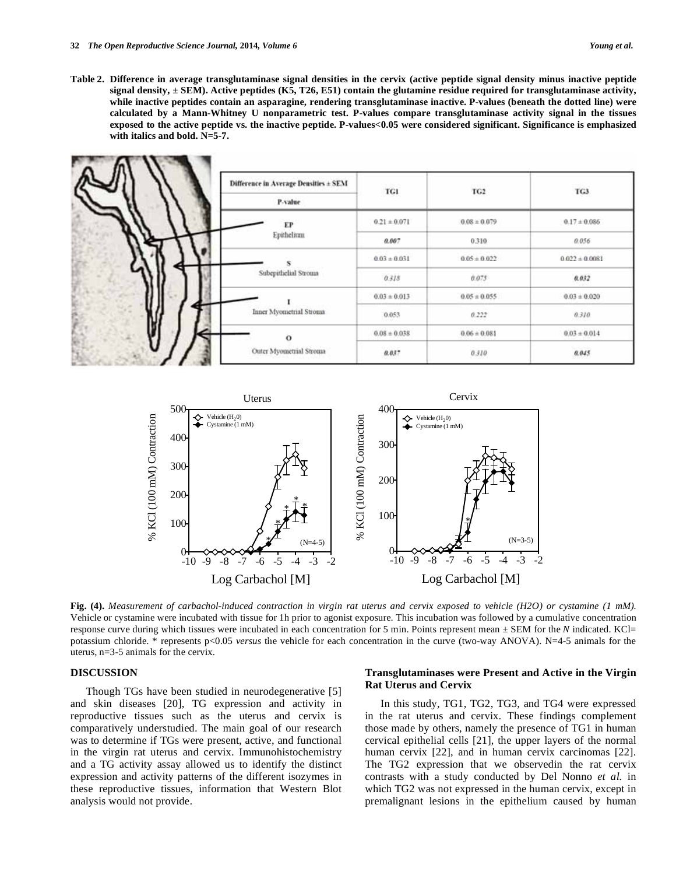**Table 2. Difference in average transglutaminase signal densities in the cervix (active peptide signal density minus inactive peptide signal density, ± SEM). Active peptides (K5, T26, E51) contain the glutamine residue required for transglutaminase activity, while inactive peptides contain an asparagine, rendering transglutaminase inactive. P-values (beneath the dotted line) were calculated by a Mann-Whitney U nonparametric test. P-values compare transglutaminase activity signal in the tissues exposed to the active peptide vs. the inactive peptide. P-values<0.05 were considered significant. Significance is emphasized with italics and bold. N=5-7.** 





**Fig. (4).** *Measurement of carbachol-induced contraction in virgin rat uterus and cervix exposed to vehicle (H2O) or cystamine (1 mM).*  Vehicle or cystamine were incubated with tissue for 1h prior to agonist exposure. This incubation was followed by a cumulative concentration response curve during which tissues were incubated in each concentration for 5 min. Points represent mean ± SEM for the *N* indicated. KCl= potassium chloride. \* represents p<0.05 *versus* the vehicle for each concentration in the curve (two-way ANOVA). N=4-5 animals for the uterus, n=3-5 animals for the cervix.

#### **DISCUSSION**

Though TGs have been studied in neurodegenerative [5] and skin diseases [20], TG expression and activity in reproductive tissues such as the uterus and cervix is comparatively understudied. The main goal of our research was to determine if TGs were present, active, and functional in the virgin rat uterus and cervix. Immunohistochemistry and a TG activity assay allowed us to identify the distinct expression and activity patterns of the different isozymes in these reproductive tissues, information that Western Blot analysis would not provide.

# **Transglutaminases were Present and Active in the Virgin Rat Uterus and Cervix**

In this study, TG1, TG2, TG3, and TG4 were expressed in the rat uterus and cervix. These findings complement those made by others, namely the presence of TG1 in human cervical epithelial cells [21], the upper layers of the normal human cervix [22], and in human cervix carcinomas [22]. The TG2 expression that we observedin the rat cervix contrasts with a study conducted by Del Nonno *et al.* in which TG2 was not expressed in the human cervix, except in premalignant lesions in the epithelium caused by human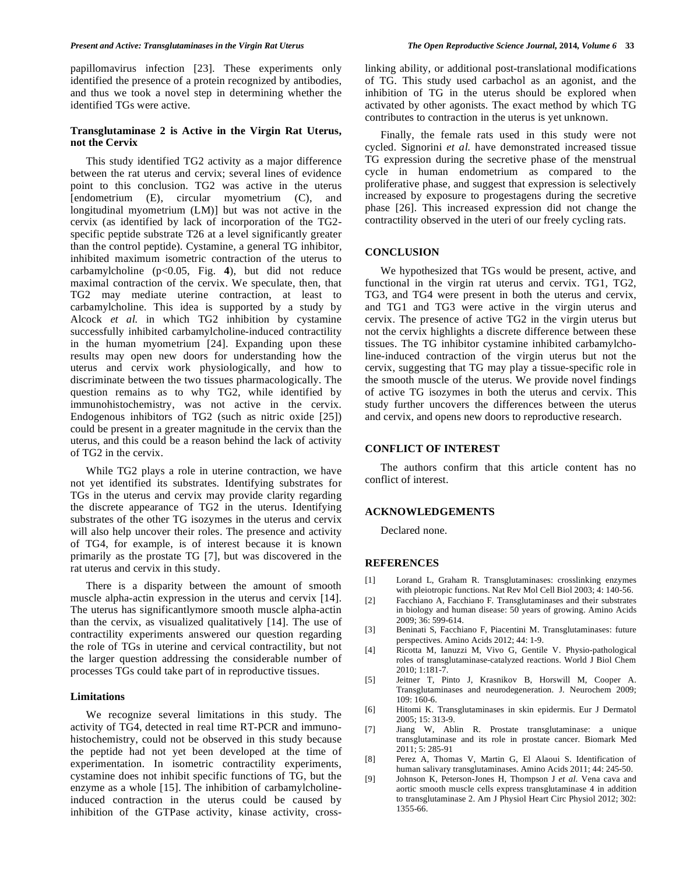papillomavirus infection [23]. These experiments only identified the presence of a protein recognized by antibodies, and thus we took a novel step in determining whether the identified TGs were active.

# **Transglutaminase 2 is Active in the Virgin Rat Uterus, not the Cervix**

This study identified TG2 activity as a major difference between the rat uterus and cervix; several lines of evidence point to this conclusion. TG2 was active in the uterus [endometrium (E), circular myometrium (C), and longitudinal myometrium (LM)] but was not active in the cervix (as identified by lack of incorporation of the TG2 specific peptide substrate T26 at a level significantly greater than the control peptide). Cystamine, a general TG inhibitor, inhibited maximum isometric contraction of the uterus to carbamylcholine  $(p<0.05, Fig. 4)$ , but did not reduce maximal contraction of the cervix. We speculate, then, that TG2 may mediate uterine contraction, at least to carbamylcholine. This idea is supported by a study by Alcock *et al.* in which TG2 inhibition by cystamine successfully inhibited carbamylcholine-induced contractility in the human myometrium [24]. Expanding upon these results may open new doors for understanding how the uterus and cervix work physiologically, and how to discriminate between the two tissues pharmacologically. The question remains as to why TG2, while identified by immunohistochemistry, was not active in the cervix. Endogenous inhibitors of TG2 (such as nitric oxide [25]) could be present in a greater magnitude in the cervix than the uterus, and this could be a reason behind the lack of activity of TG2 in the cervix.

While TG2 plays a role in uterine contraction, we have not yet identified its substrates. Identifying substrates for TGs in the uterus and cervix may provide clarity regarding the discrete appearance of TG2 in the uterus. Identifying substrates of the other TG isozymes in the uterus and cervix will also help uncover their roles. The presence and activity of TG4, for example, is of interest because it is known primarily as the prostate TG [7], but was discovered in the rat uterus and cervix in this study.

There is a disparity between the amount of smooth muscle alpha-actin expression in the uterus and cervix [14]. The uterus has significantlymore smooth muscle alpha-actin than the cervix, as visualized qualitatively [14]. The use of contractility experiments answered our question regarding the role of TGs in uterine and cervical contractility, but not the larger question addressing the considerable number of processes TGs could take part of in reproductive tissues.

#### **Limitations**

We recognize several limitations in this study. The activity of TG4, detected in real time RT-PCR and immunohistochemistry, could not be observed in this study because the peptide had not yet been developed at the time of experimentation. In isometric contractility experiments, cystamine does not inhibit specific functions of TG, but the enzyme as a whole [15]. The inhibition of carbamylcholineinduced contraction in the uterus could be caused by inhibition of the GTPase activity, kinase activity, crosslinking ability, or additional post-translational modifications of TG. This study used carbachol as an agonist, and the inhibition of TG in the uterus should be explored when activated by other agonists. The exact method by which TG contributes to contraction in the uterus is yet unknown.

Finally, the female rats used in this study were not cycled. Signorini *et al.* have demonstrated increased tissue TG expression during the secretive phase of the menstrual cycle in human endometrium as compared to the proliferative phase, and suggest that expression is selectively increased by exposure to progestagens during the secretive phase [26]. This increased expression did not change the contractility observed in the uteri of our freely cycling rats.

#### **CONCLUSION**

We hypothesized that TGs would be present, active, and functional in the virgin rat uterus and cervix. TG1, TG2, TG3, and TG4 were present in both the uterus and cervix, and TG1 and TG3 were active in the virgin uterus and cervix. The presence of active TG2 in the virgin uterus but not the cervix highlights a discrete difference between these tissues. The TG inhibitor cystamine inhibited carbamylcholine-induced contraction of the virgin uterus but not the cervix, suggesting that TG may play a tissue-specific role in the smooth muscle of the uterus. We provide novel findings of active TG isozymes in both the uterus and cervix. This study further uncovers the differences between the uterus and cervix, and opens new doors to reproductive research.

#### **CONFLICT OF INTEREST**

The authors confirm that this article content has no conflict of interest.

# **ACKNOWLEDGEMENTS**

Declared none.

#### **REFERENCES**

- [1] Lorand L, Graham R. Transglutaminases: crosslinking enzymes with pleiotropic functions. Nat Rev Mol Cell Biol 2003; 4: 140-56.
- [2] Facchiano A, Facchiano F. Transglutaminases and their substrates in biology and human disease: 50 years of growing. Amino Acids 2009; 36: 599-614.
- [3] Beninati S, Facchiano F, Piacentini M. Transglutaminases: future perspectives. Amino Acids 2012; 44: 1-9.
- [4] Ricotta M, Ianuzzi M, Vivo G, Gentile V. Physio-pathological roles of transglutaminase-catalyzed reactions. World  $\overrightarrow{J}$  Biol Chem 2010; 1:181-7.
- [5] Jeitner T, Pinto J, Krasnikov B, Horswill M, Cooper A. Transglutaminases and neurodegeneration. J. Neurochem 2009; 109: 160-6.
- [6] Hitomi K. Transglutaminases in skin epidermis. Eur J Dermatol 2005; 15: 313-9.
- [7] Jiang W, Ablin R. Prostate transglutaminase: a unique transglutaminase and its role in prostate cancer. Biomark Med 2011; 5: 285-91
- [8] Perez A, Thomas V, Martin G, El Alaoui S. Identification of human salivary transglutaminases. Amino Acids 2011; 44: 245-50.
- [9] Johnson K, Peterson-Jones H, Thompson J *et al*. Vena cava and aortic smooth muscle cells express transglutaminase 4 in addition to transglutaminase 2. Am J Physiol Heart Circ Physiol 2012; 302: 1355-66.